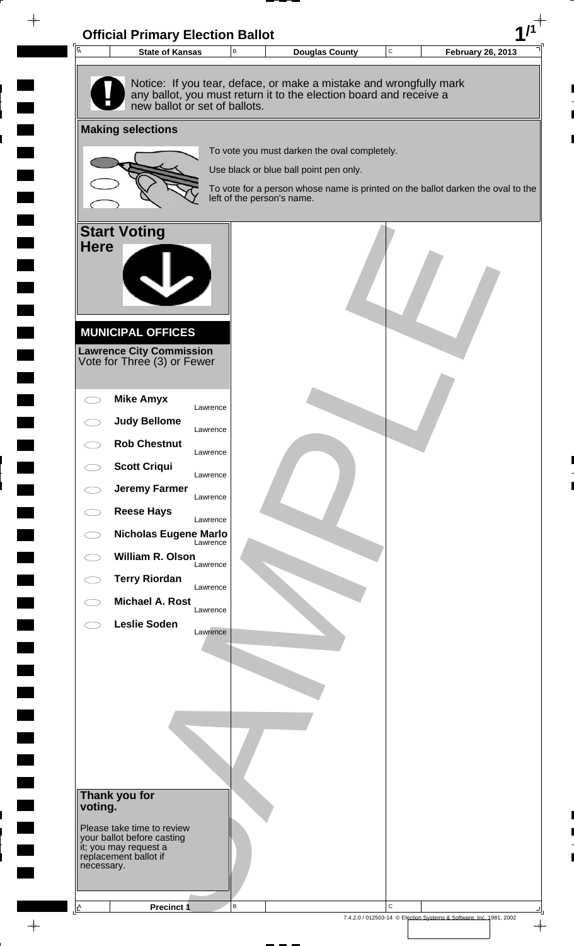

 $\rightarrow$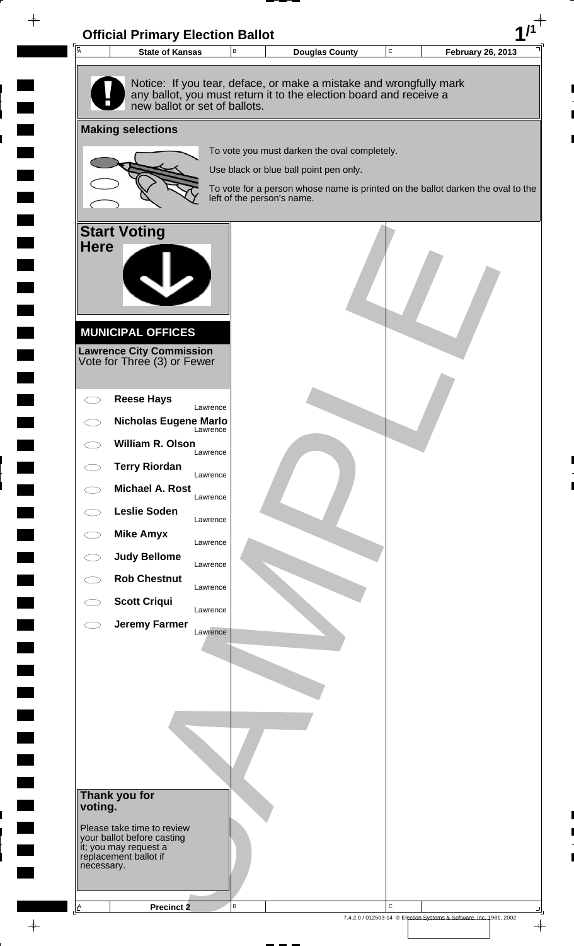

 $\rightarrow$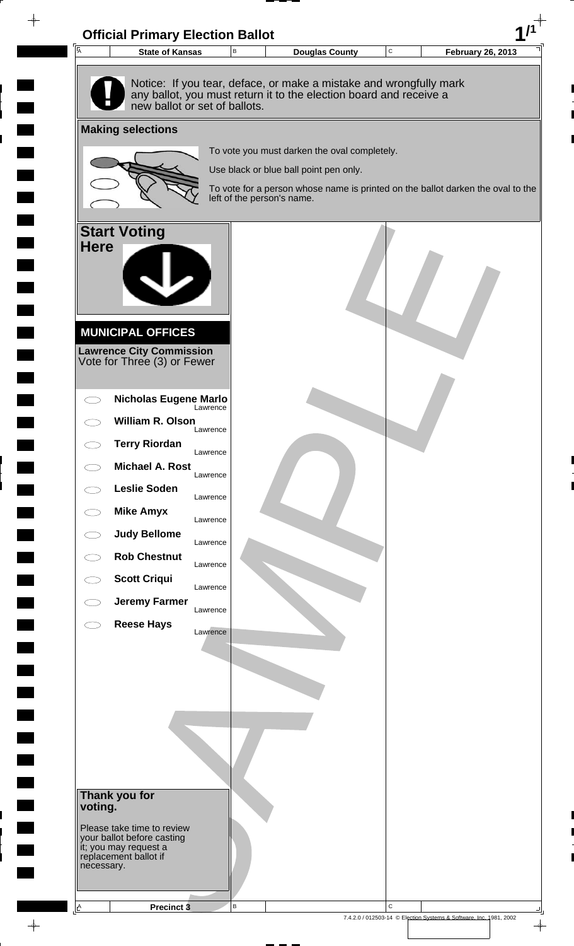

 $\rightarrow$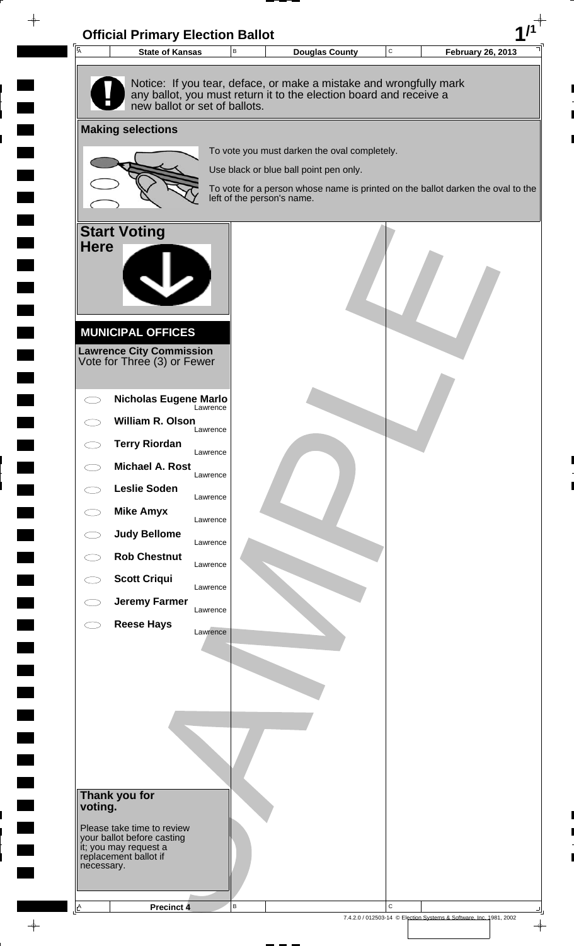

 $\rightarrow$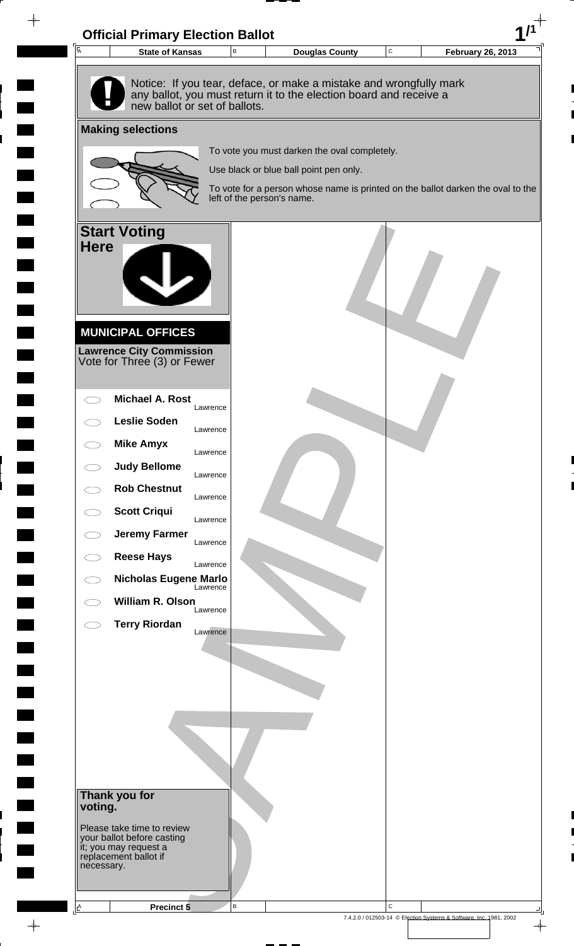

 $\rightarrow$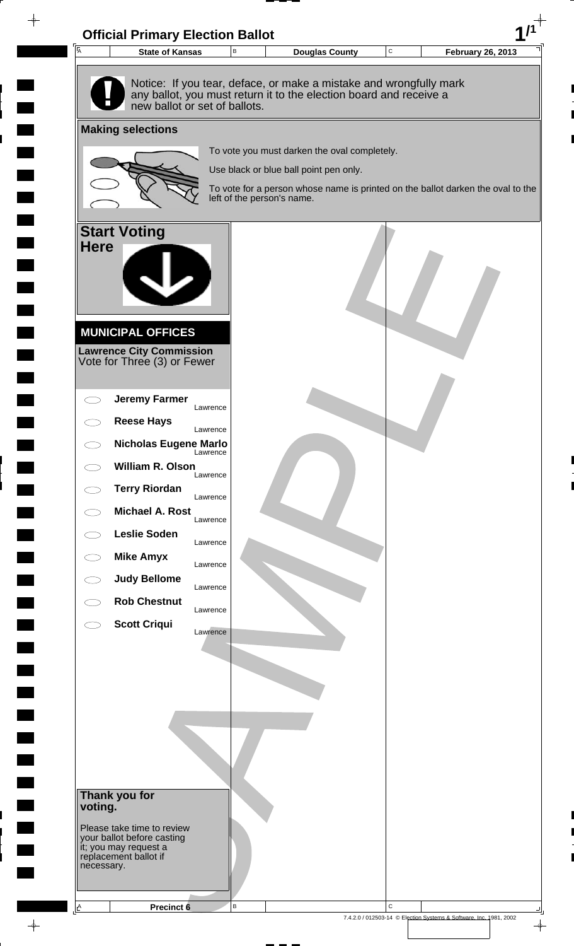

 $\rightarrow$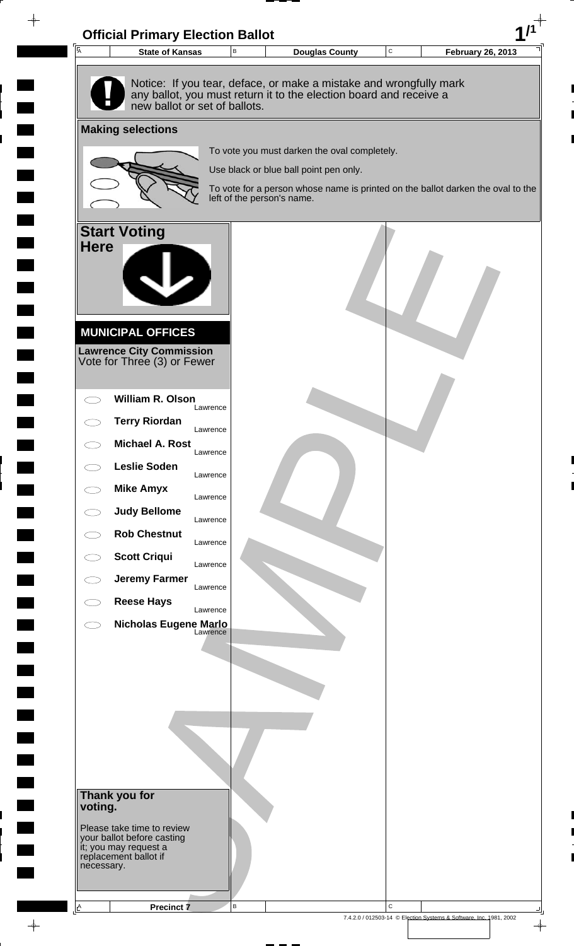

 $\rightarrow$ 

**The Co**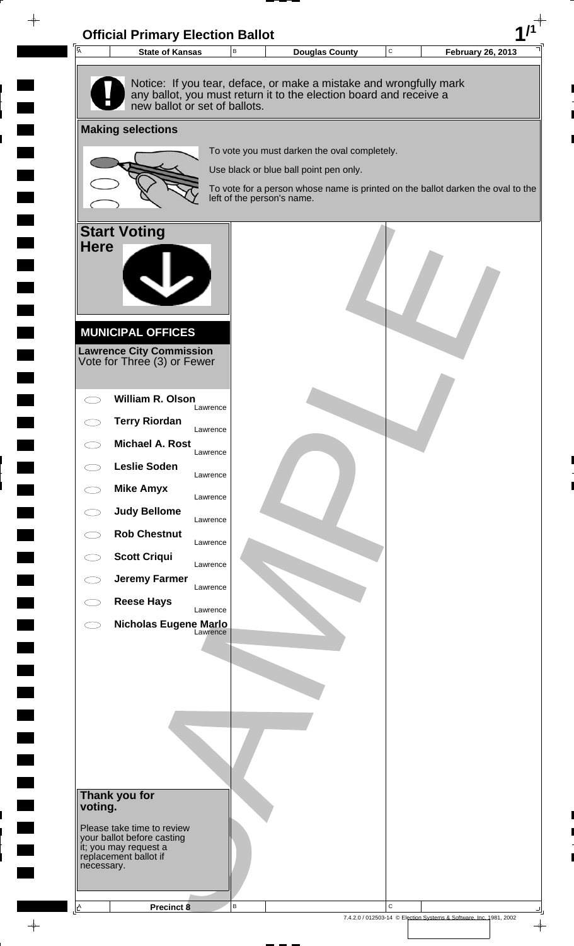

 $\rightarrow$ 

**The Co**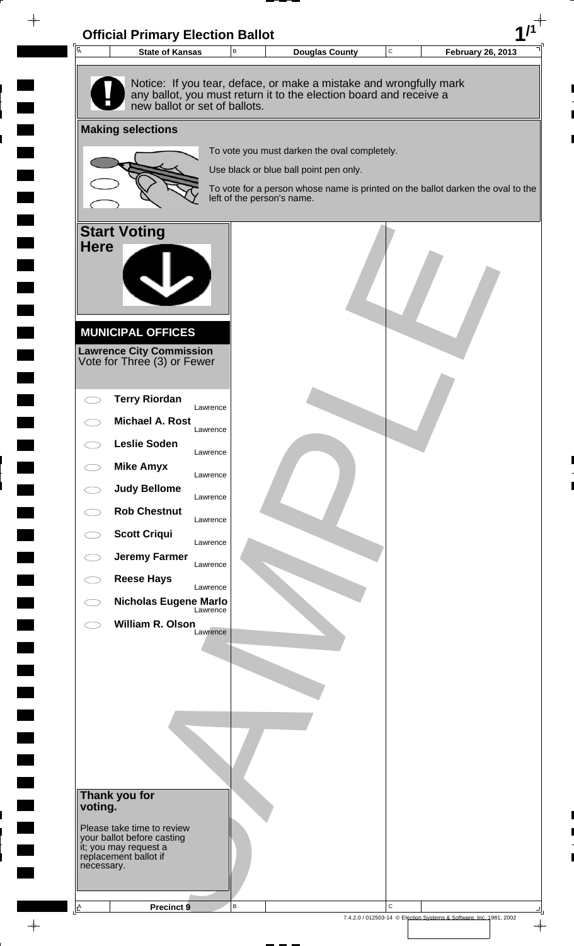

 $\rightarrow$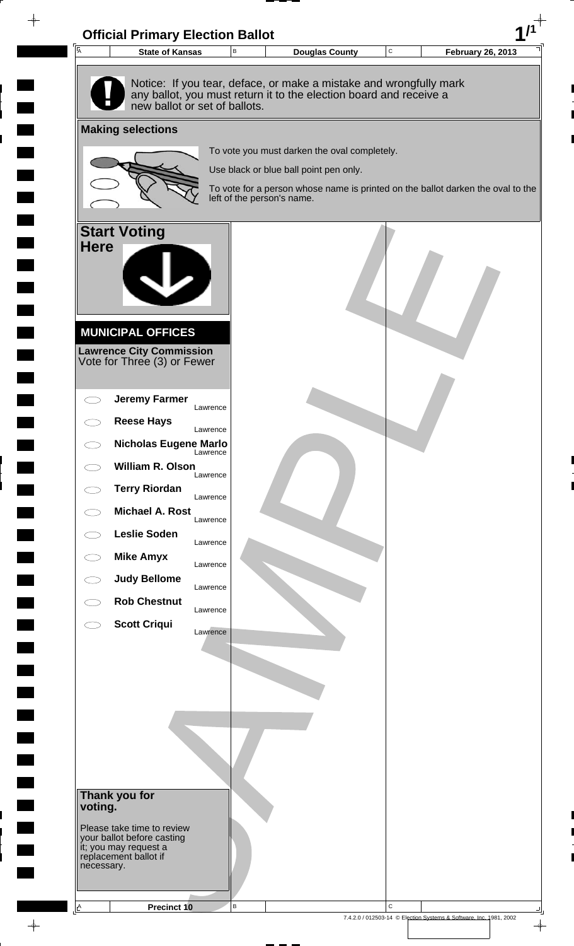

 $\rightarrow$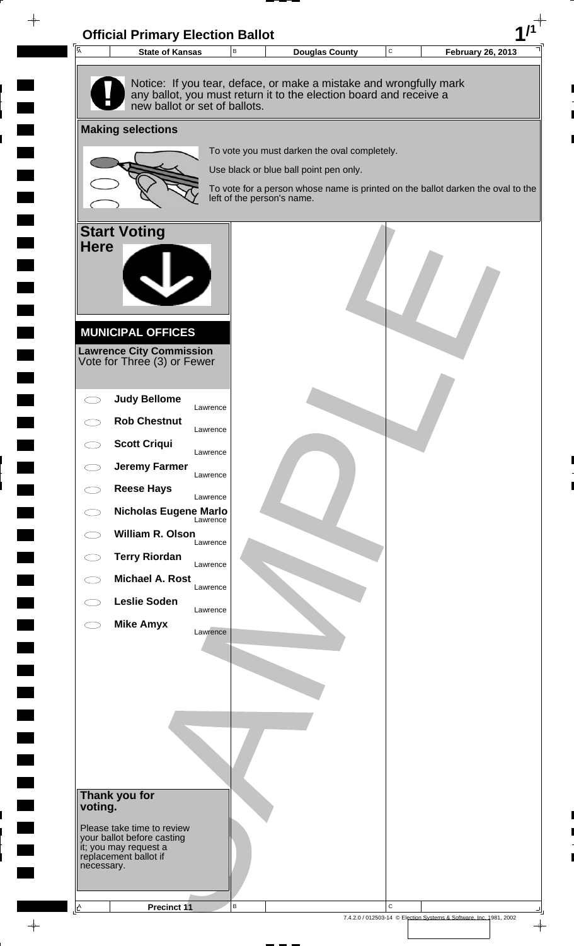

**The Second Second** 

 $\rightarrow$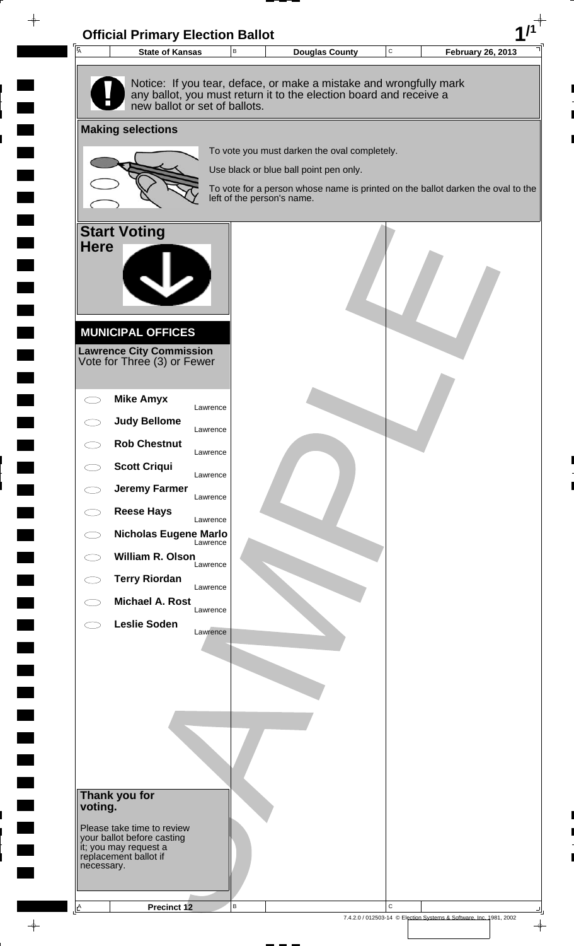

 $\rightarrow$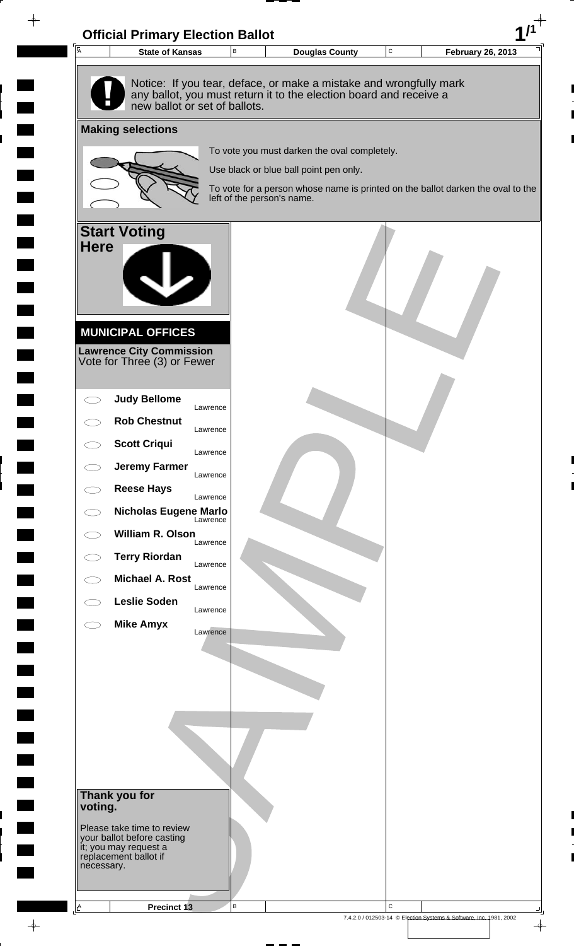

 $\rightarrow$ 

**The Co** 

7.4.2.0 / 012503-14 © Election Systems & Software, Inc. 1981, 2002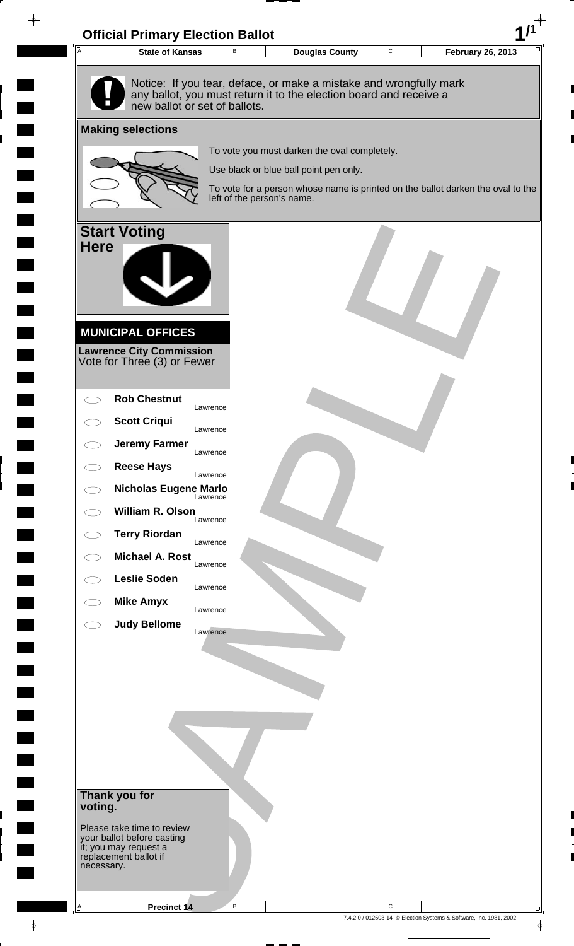

 $\rightarrow$ 

7.4.2.0 / 012503-14 © Election Systems & Software, Inc. 1981, 2002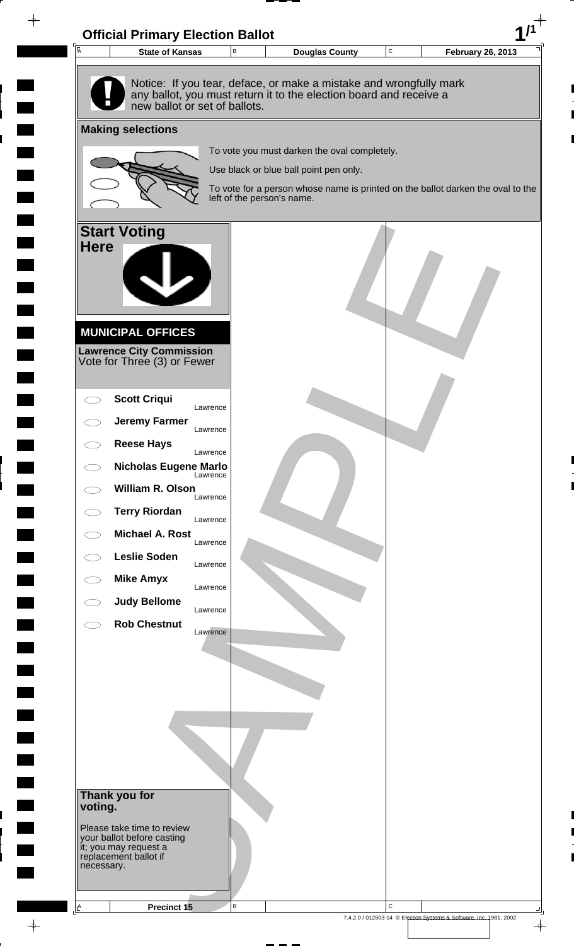

 $\rightarrow$ 

7.4.2.0 / 012503-14 © Election Systems & Software, Inc. 1981, 2002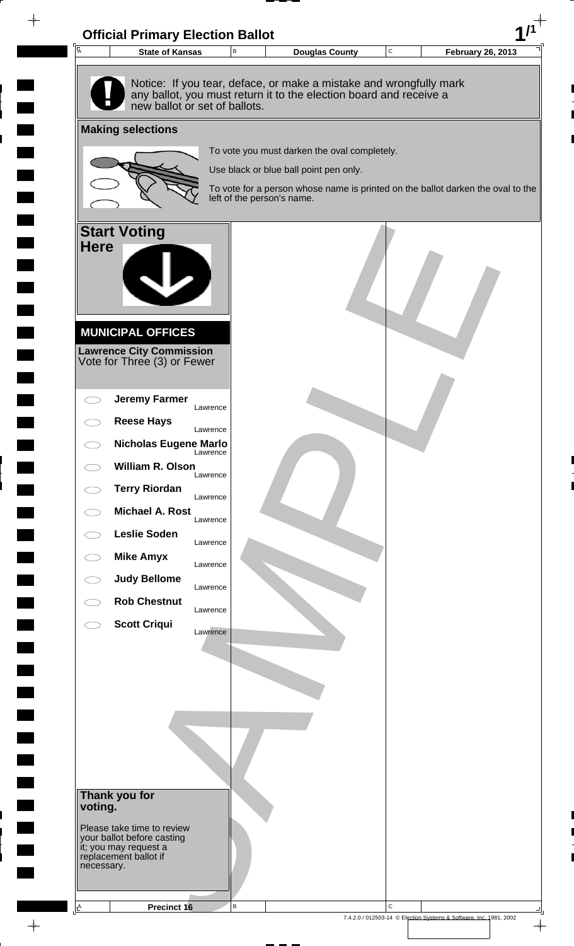

 $\rightarrow$ 

7.4.2.0 / 012503-14 © Election Systems & Software, Inc. 1981, 2002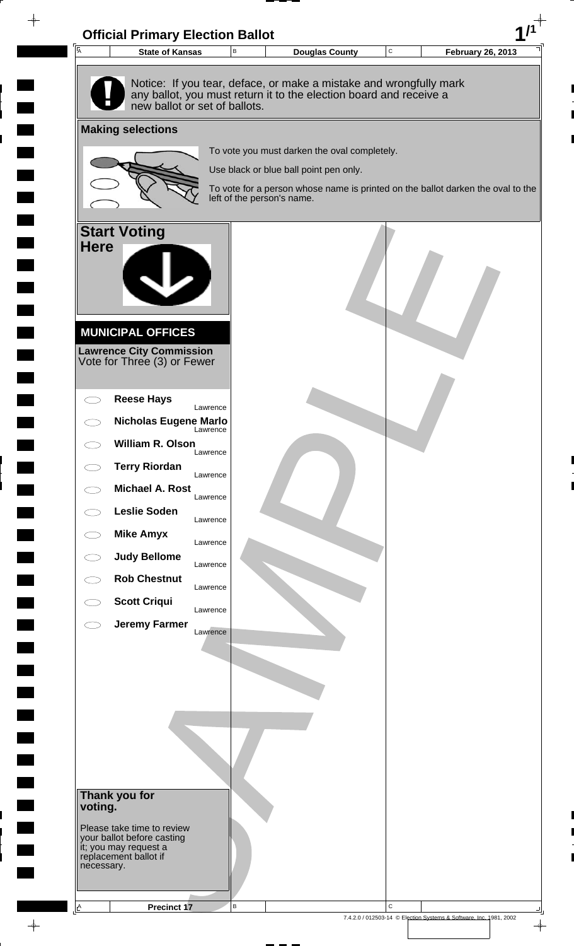

 $\rightarrow$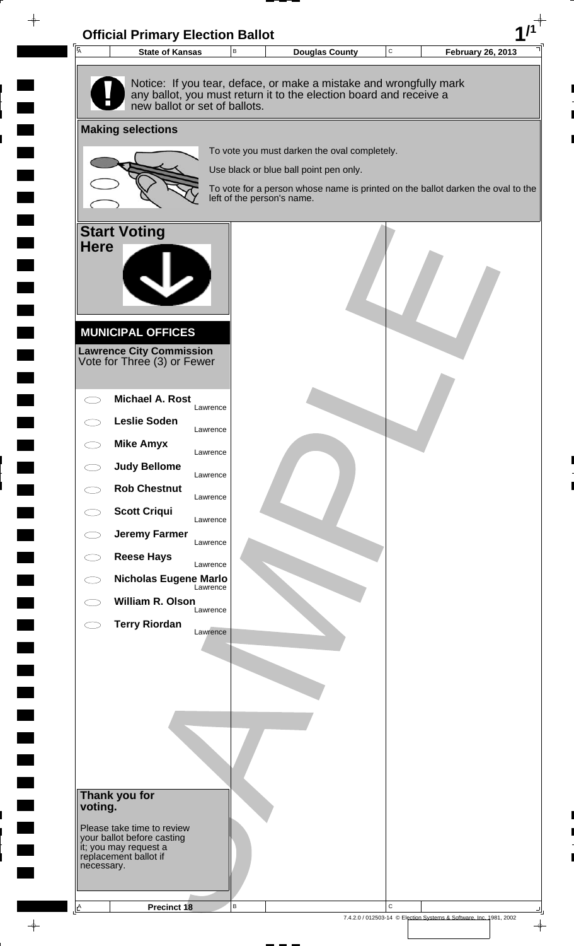

 $\rightarrow$ 

7.4.2.0 / 012503-14 © Election Systems & Software, Inc. 1981, 2002

 $\color{red} \phi$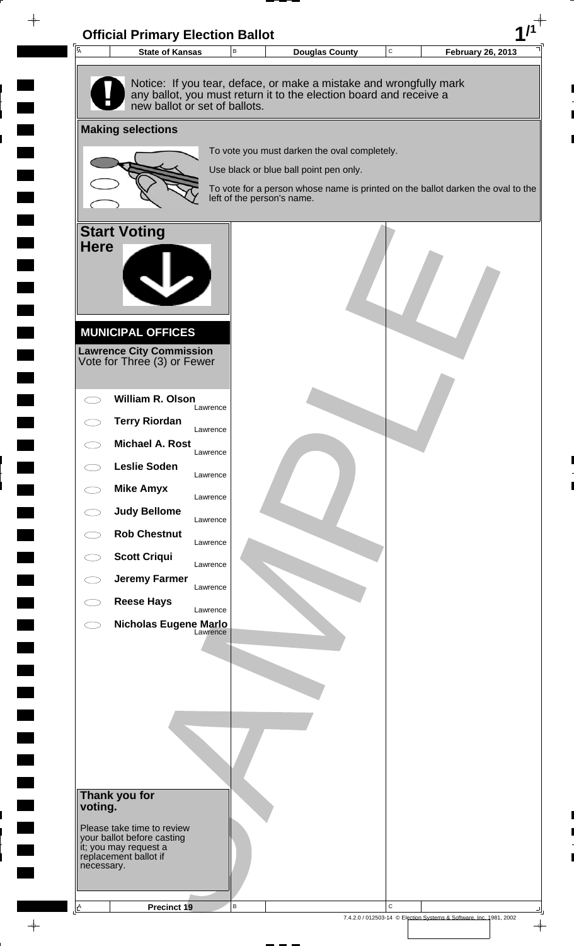

 $\rightarrow$ 

**The Co**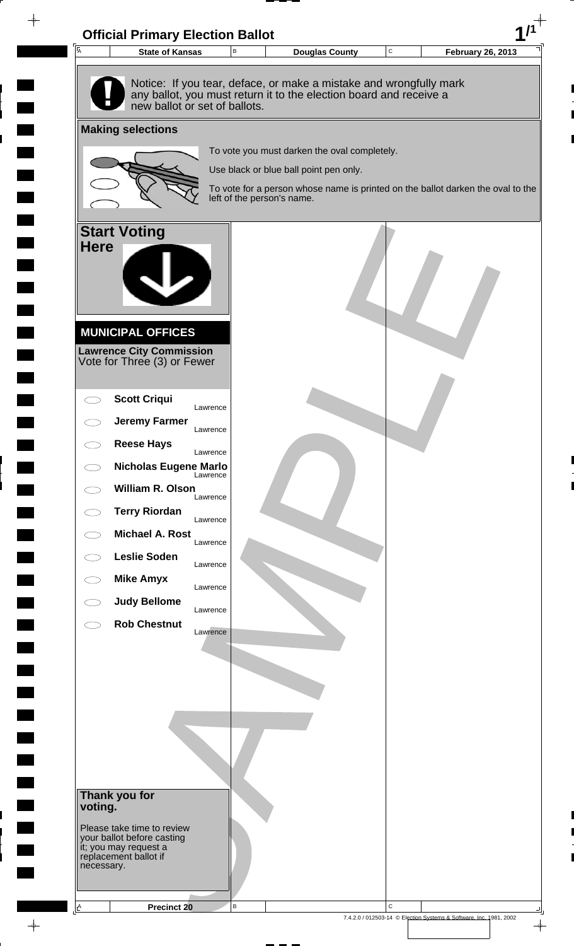

 $\rightarrow$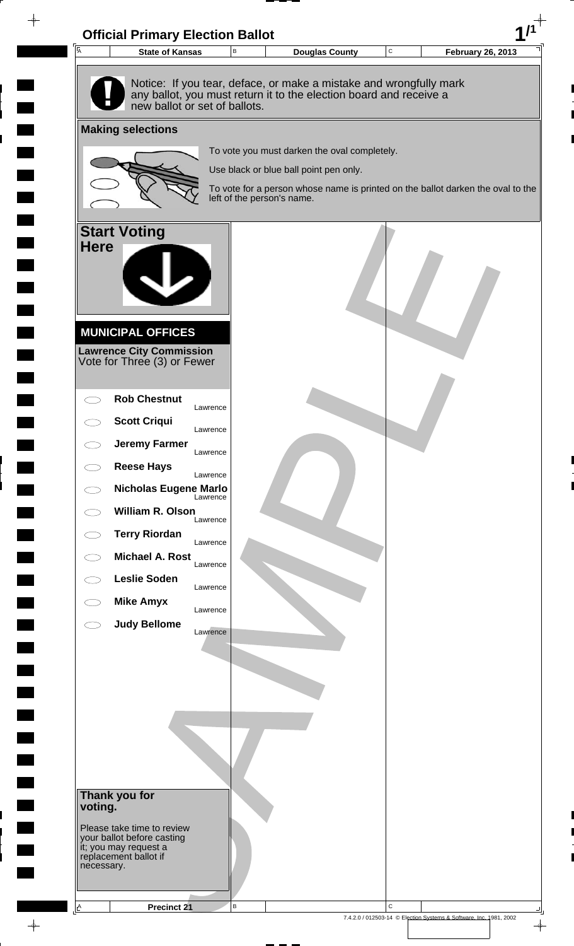

 $\rightarrow$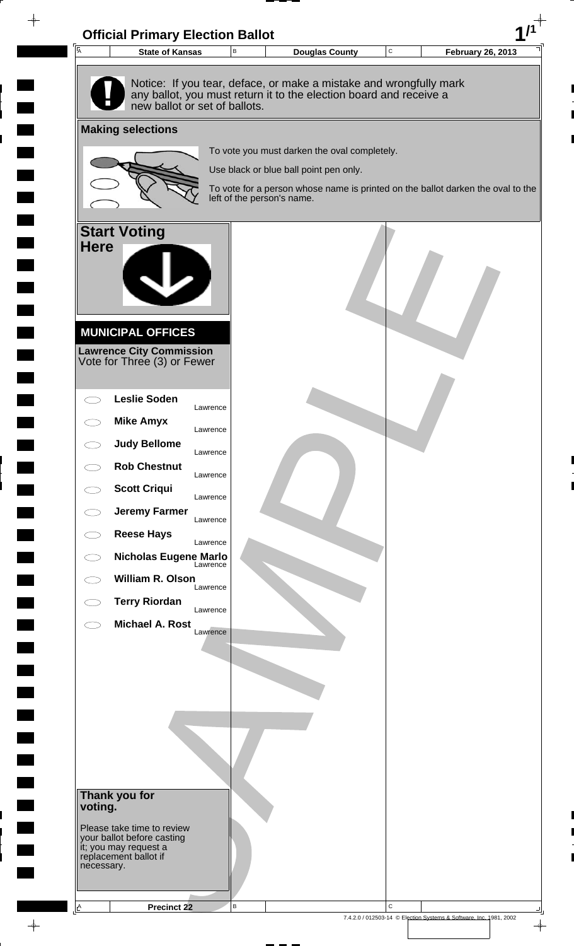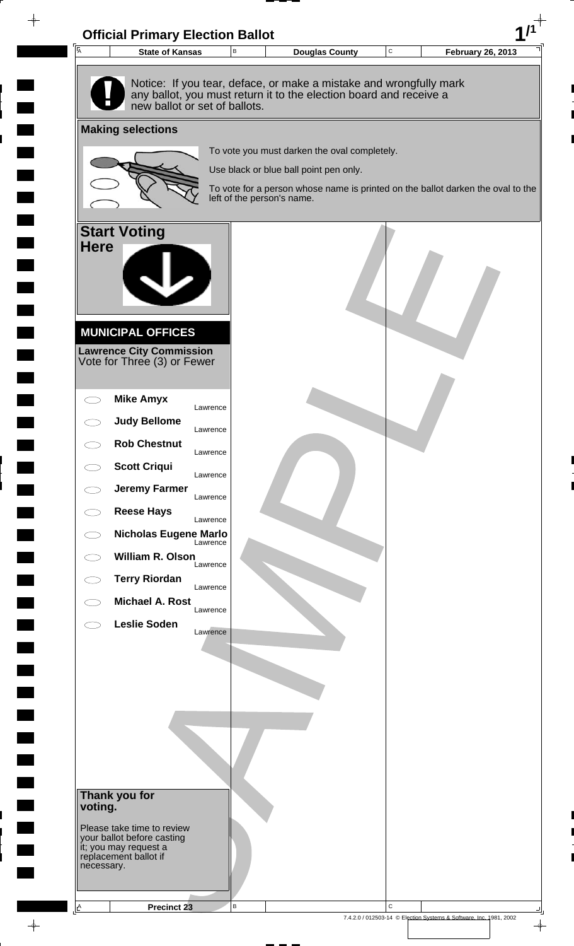

 $\rightarrow$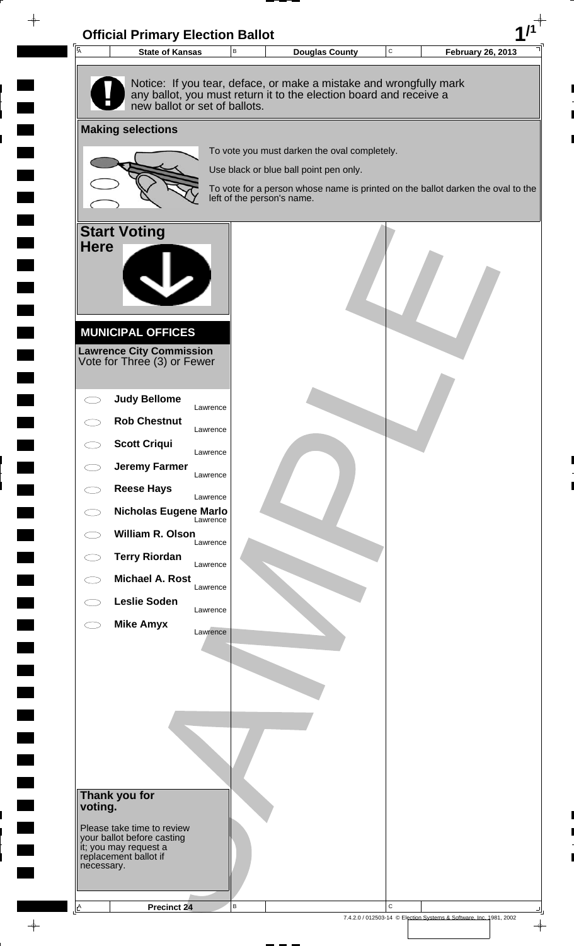

 $\rightarrow$ 

**The Co** 

7.4.2.0 / 012503-14 © Election Systems & Software, Inc. 1981, 2002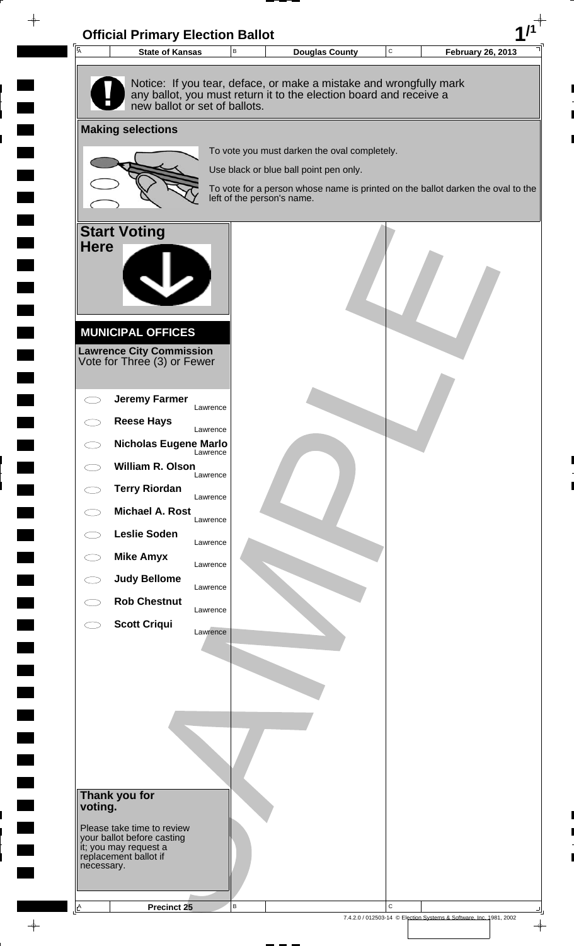

 $\rightarrow$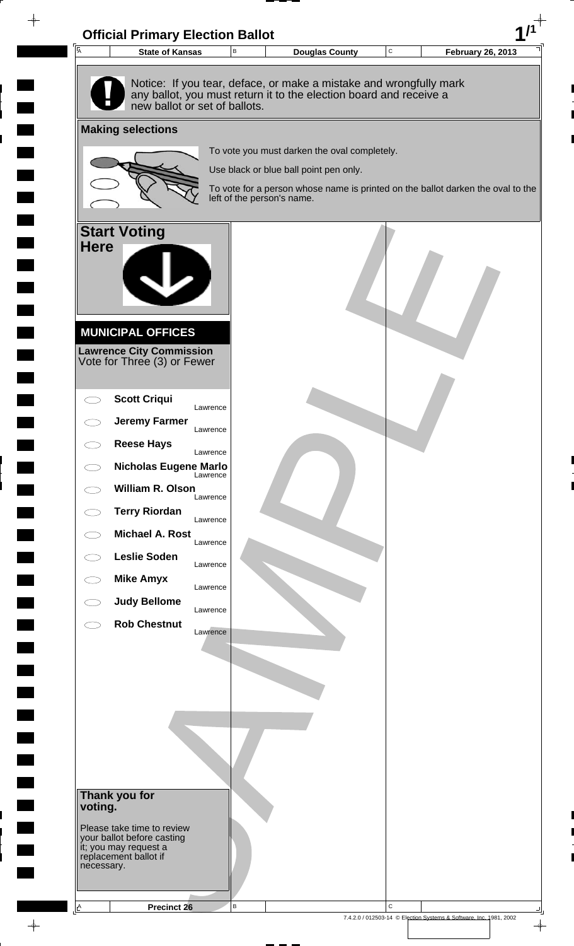

 $\rightarrow$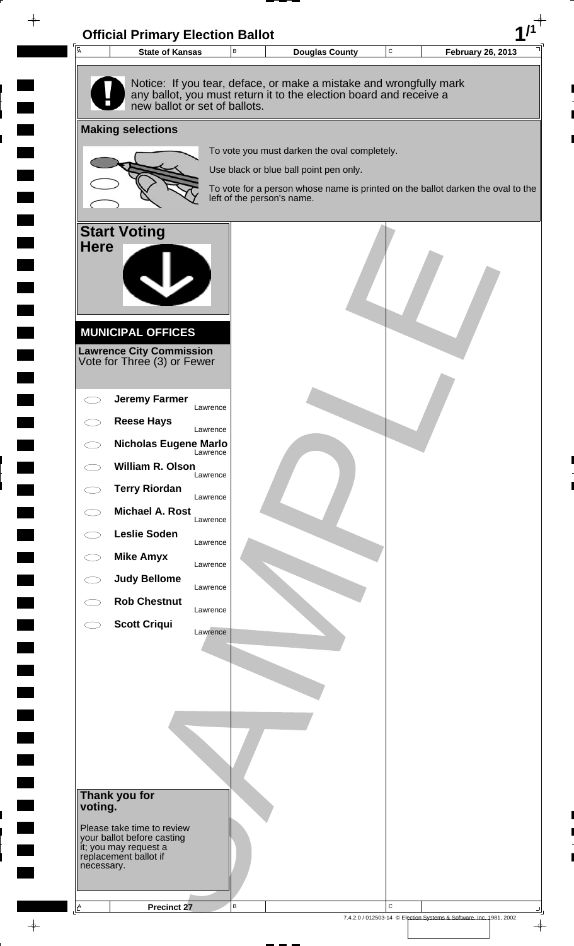

 $\rightarrow$ 

7.4.2.0 / 012503-14 © Election Systems & Software, Inc. 1981, 2002

 $\frac{1}{\Phi}$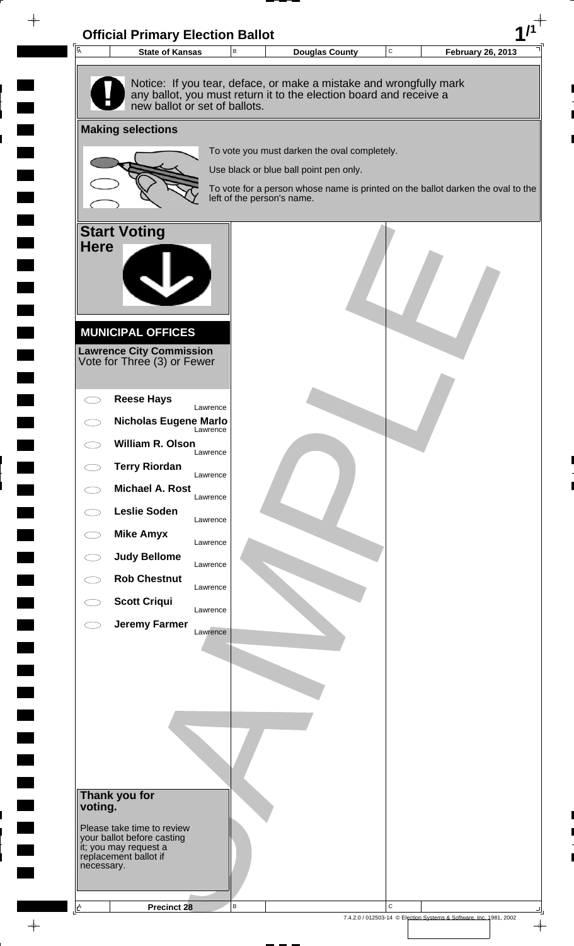

 $\rightarrow$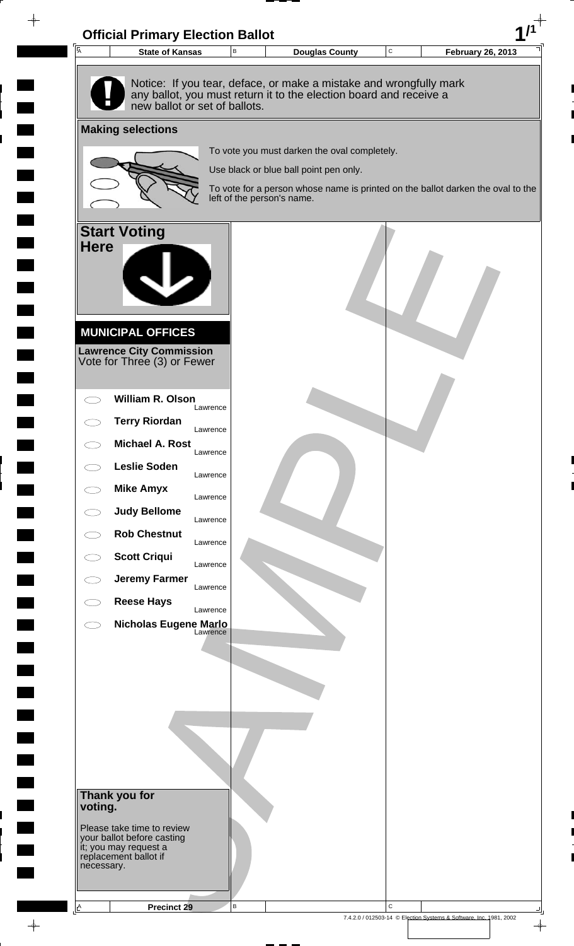

 $\rightarrow$ 

7.4.2.0 / 012503-14 © Election Systems & Software, Inc. 1981, 2002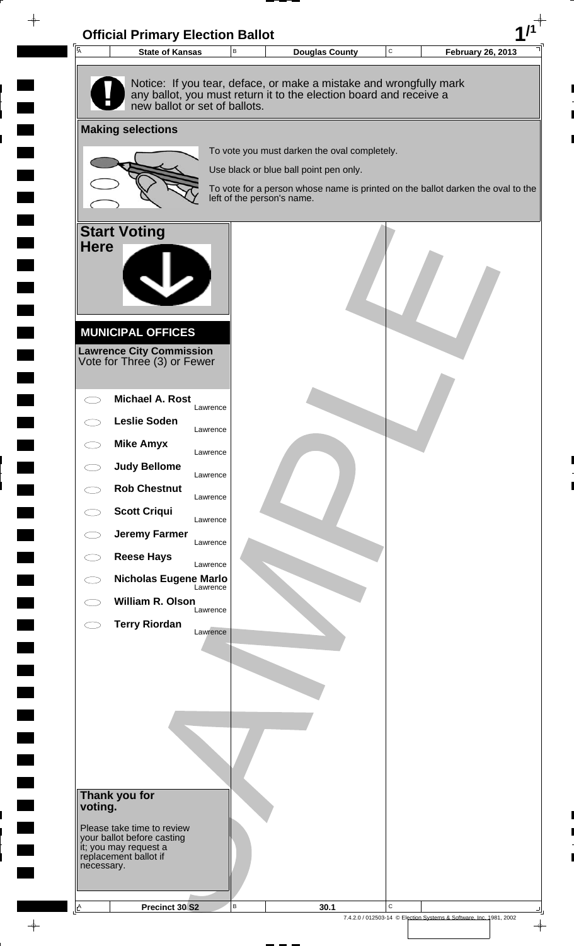

 $\rightarrow$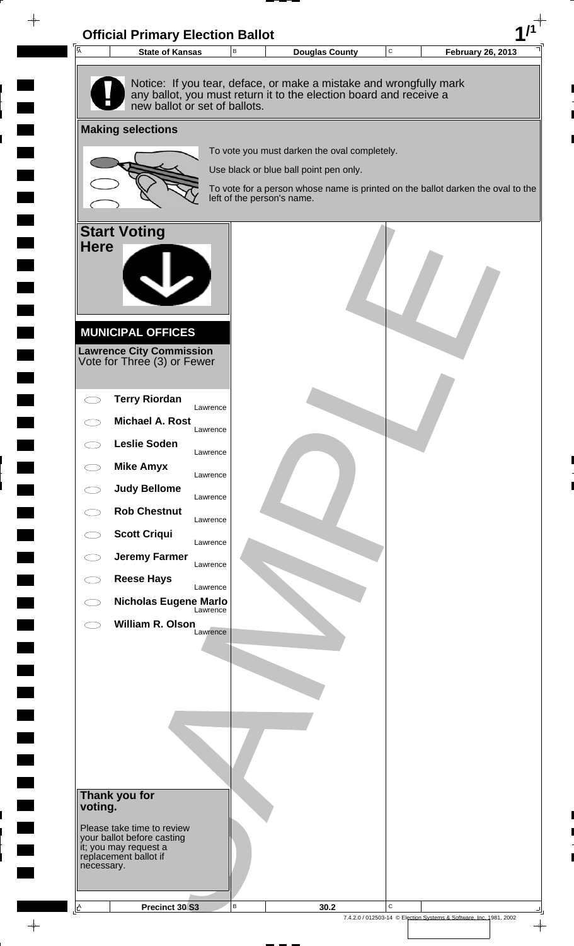

 $\rightarrow$ 

 $\blacksquare$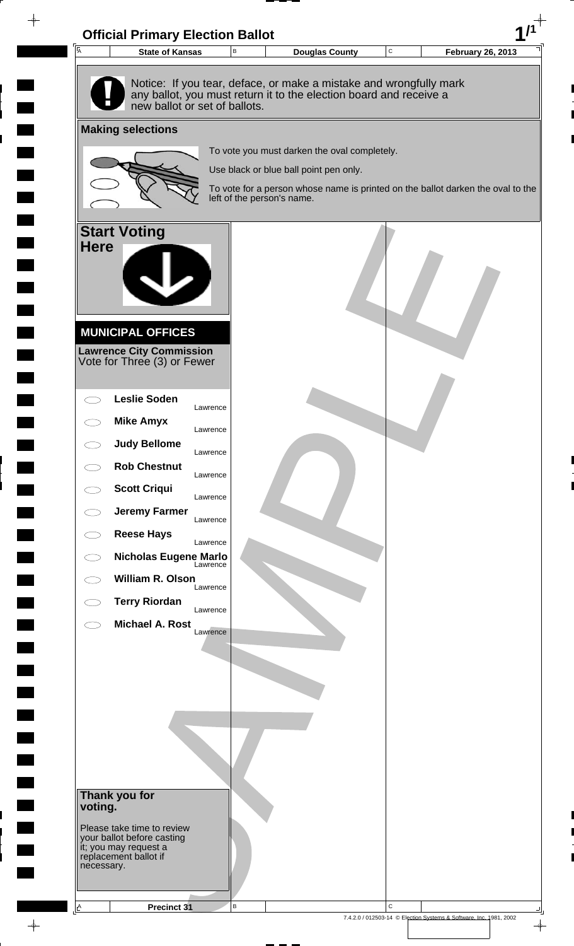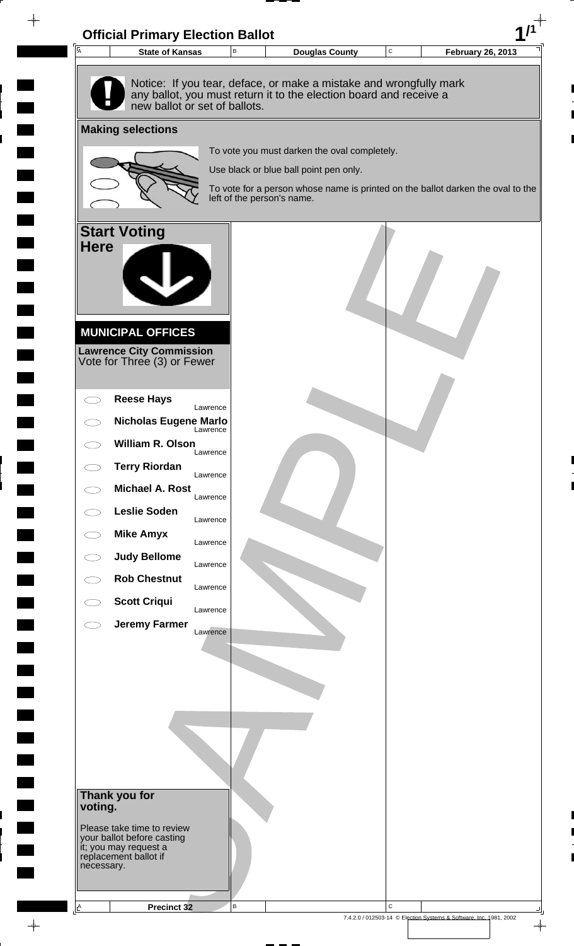

 $\rightarrow$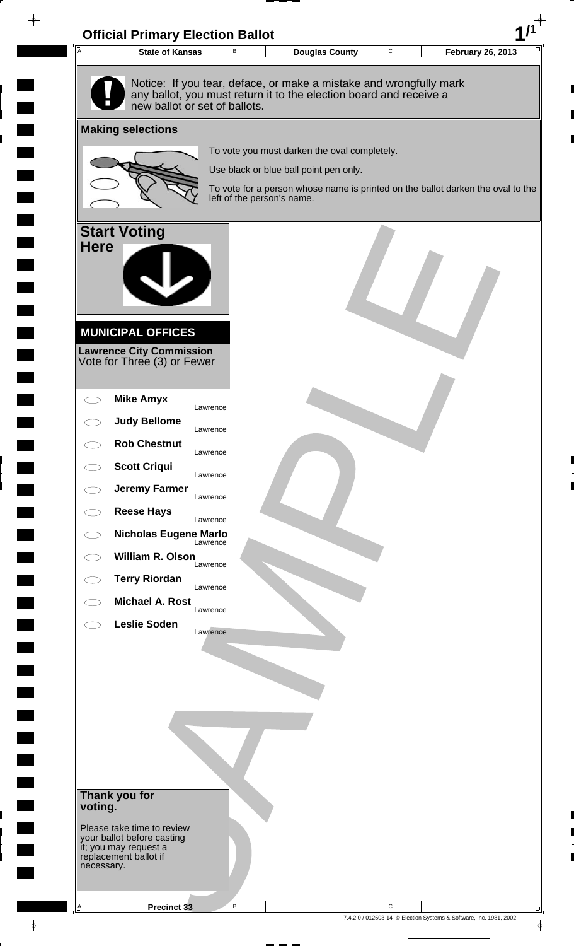

 $\rightarrow$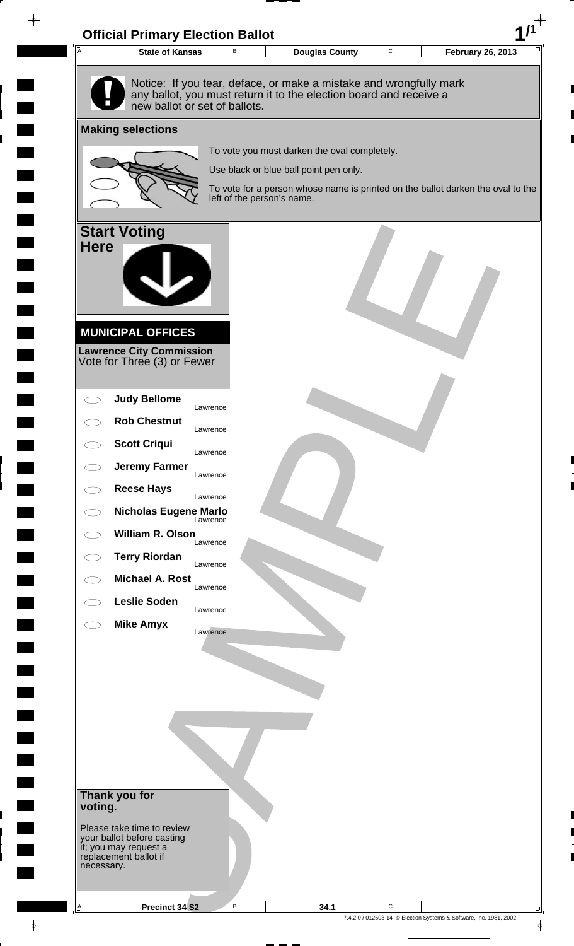

 $\rightarrow$ 

**The Co** 

7.4.2.0 / 012503-14 © Election Systems & Software, Inc. 1981, 2002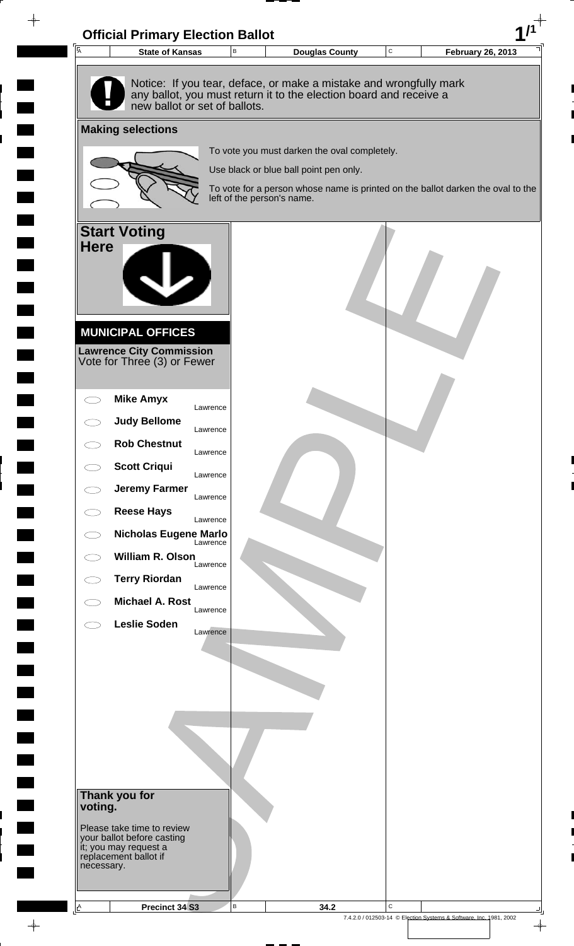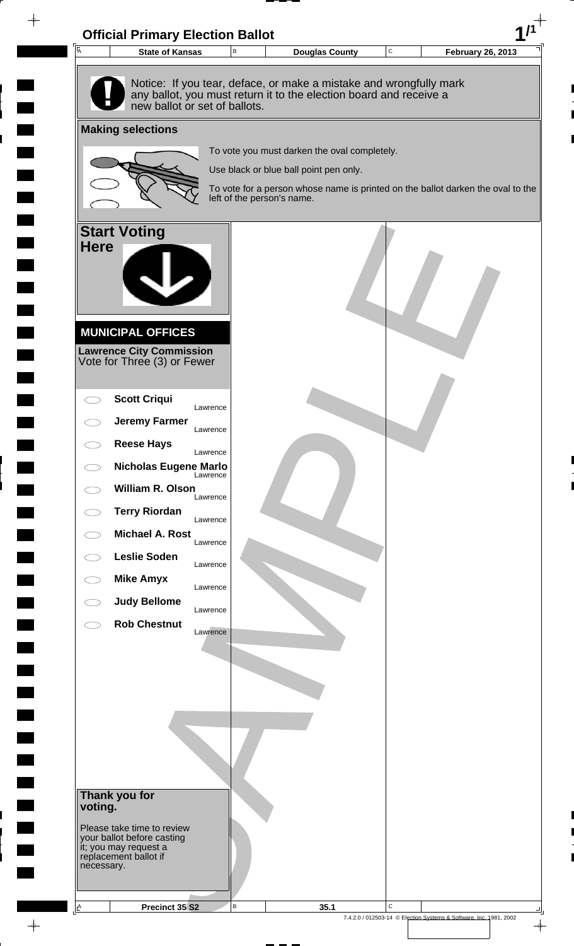

 $\rightarrow$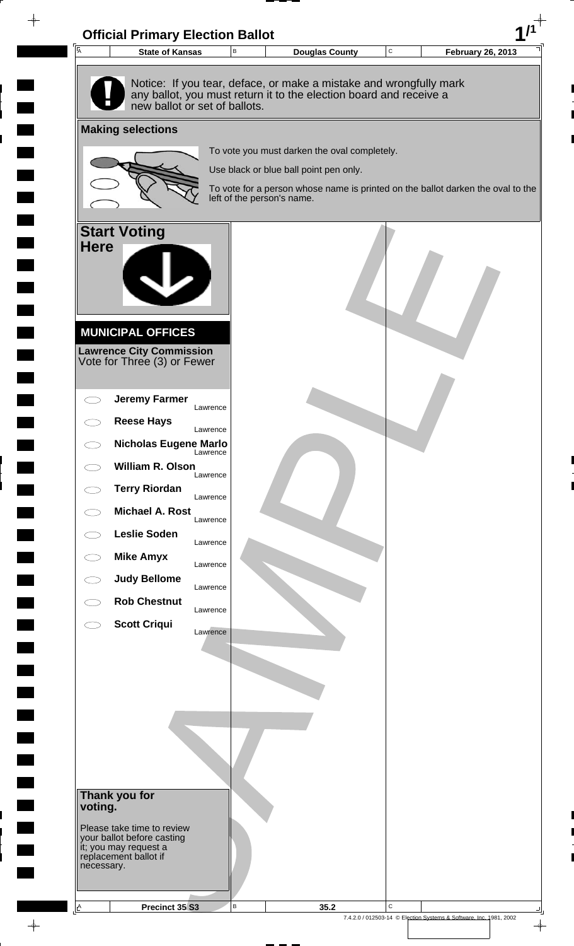

 $\rightarrow$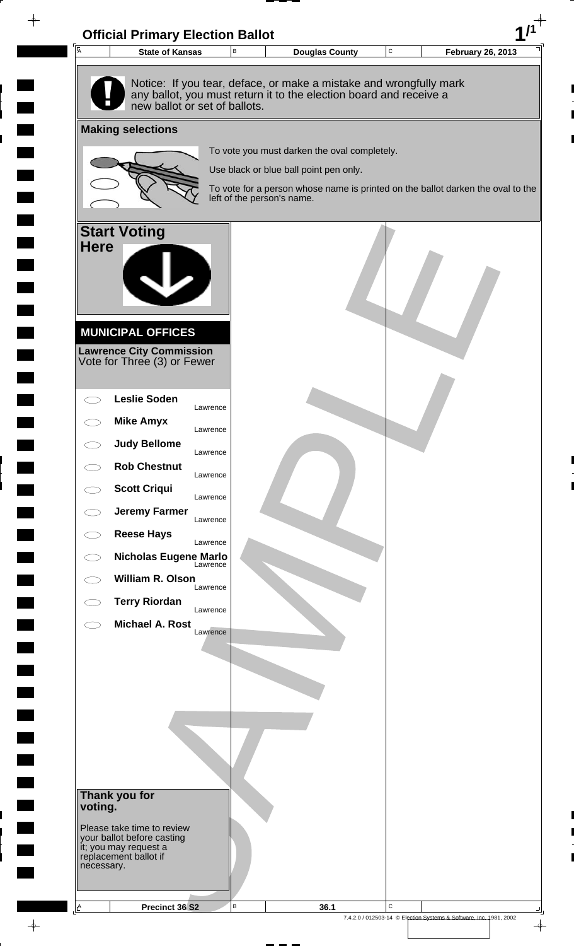

 $\rightarrow$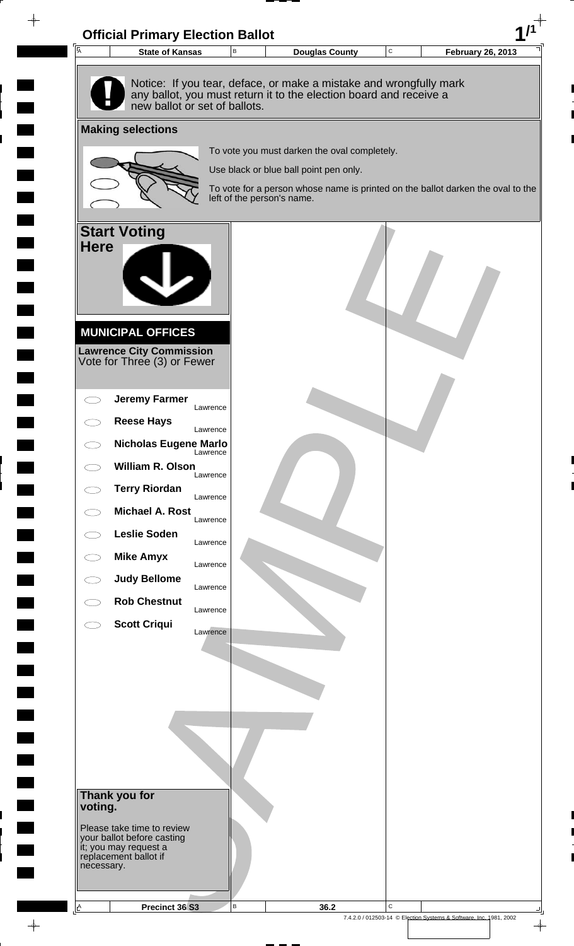

 $\blacksquare$  $\rightarrow$ 

 $\rightarrow$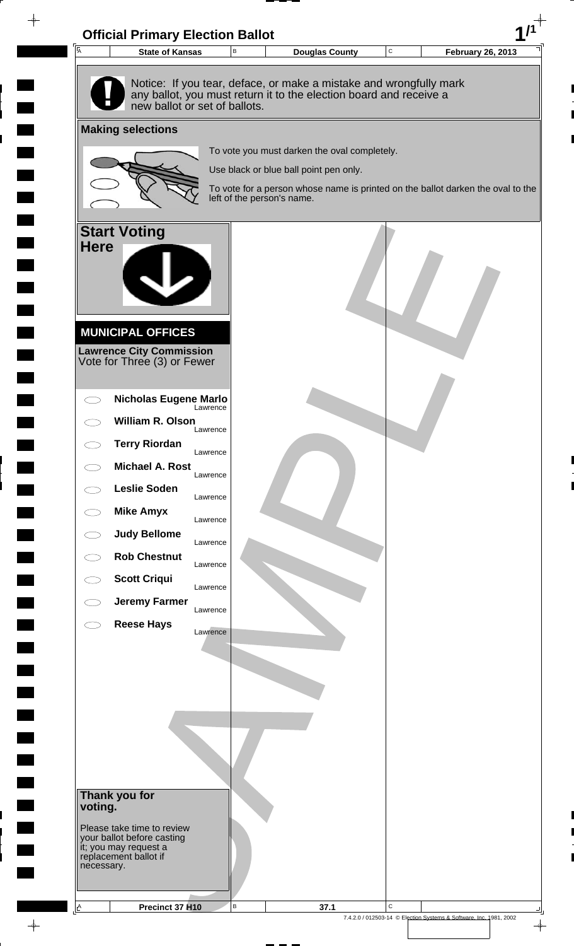

**The Second Second**  $\rightarrow$ 

 $\rightarrow$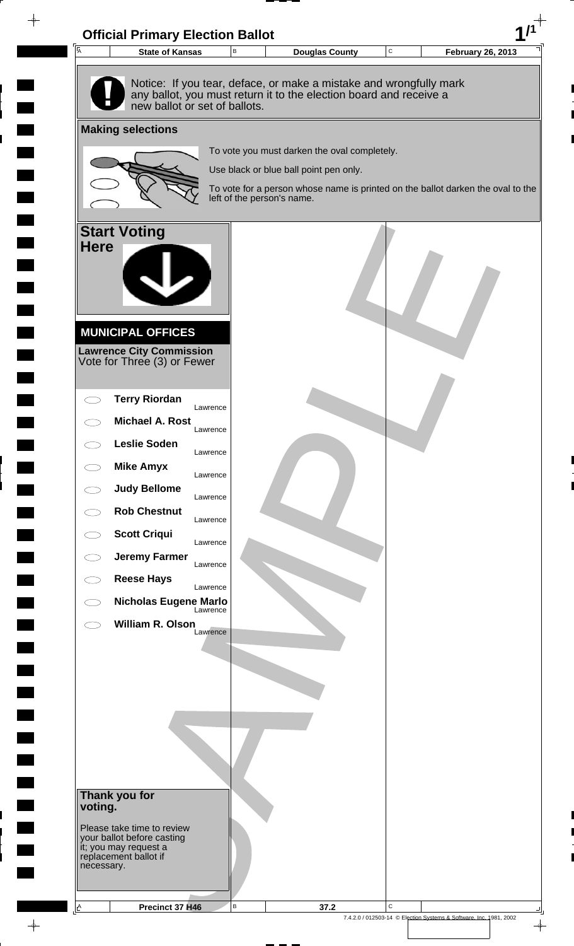

 $\rightarrow$ 

 $\frac{1}{\left( \frac{1}{2} \right)}$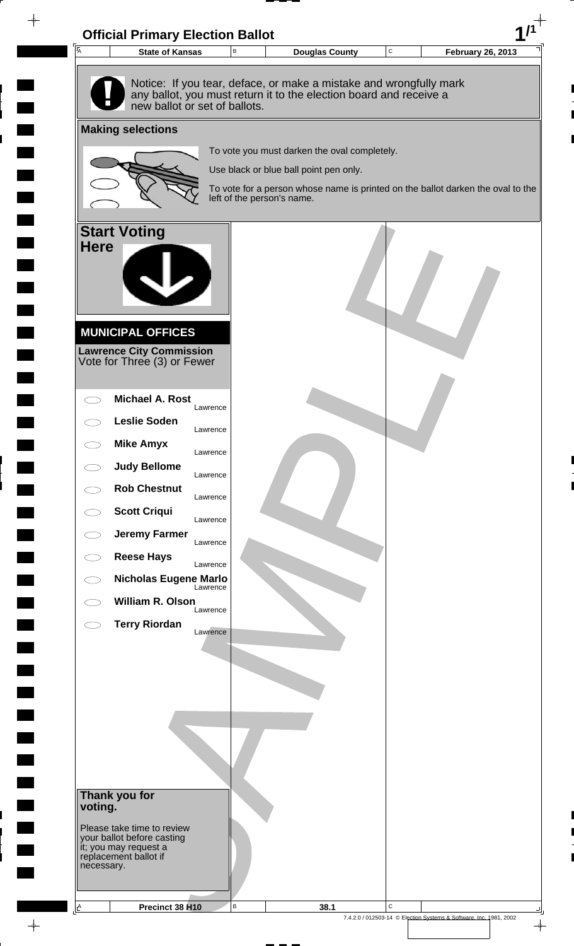

 $\rightarrow$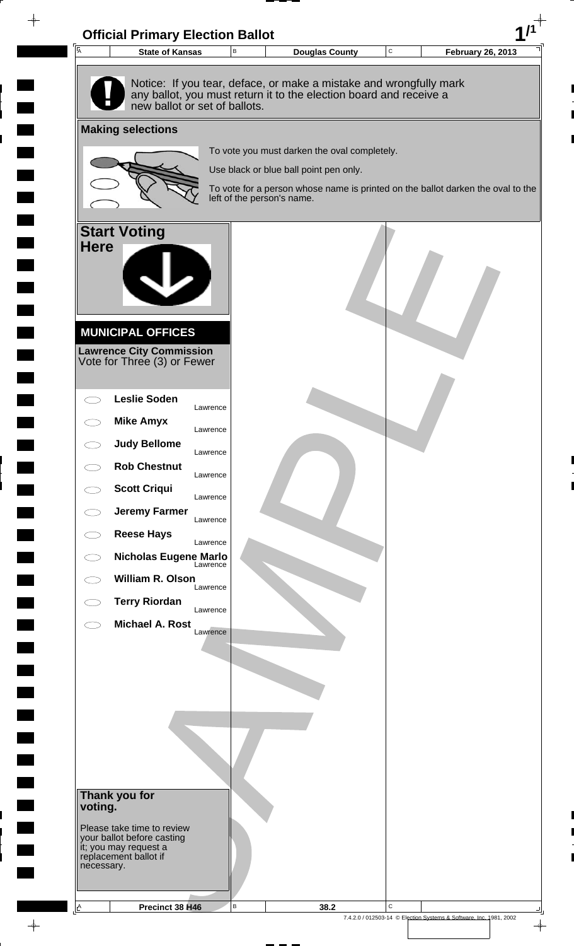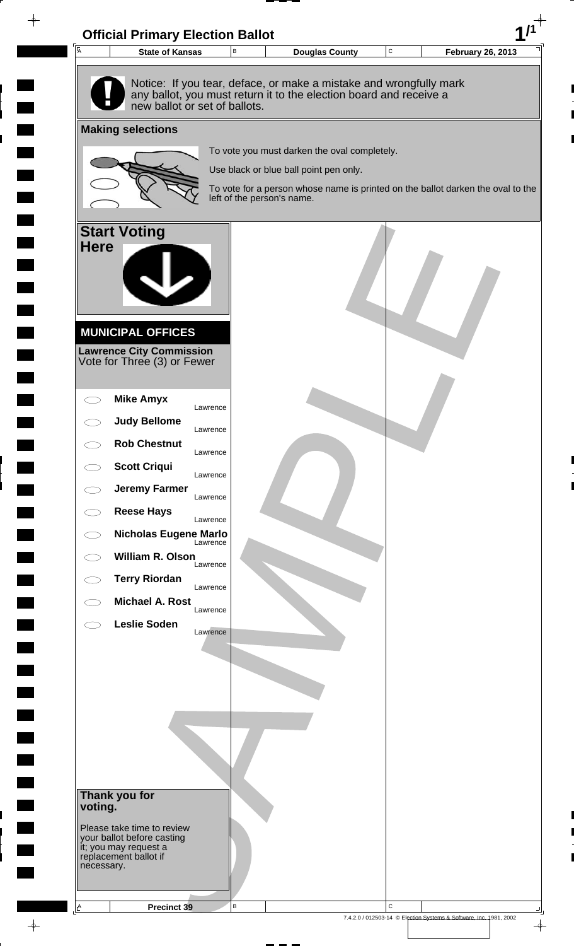

 $\rightarrow$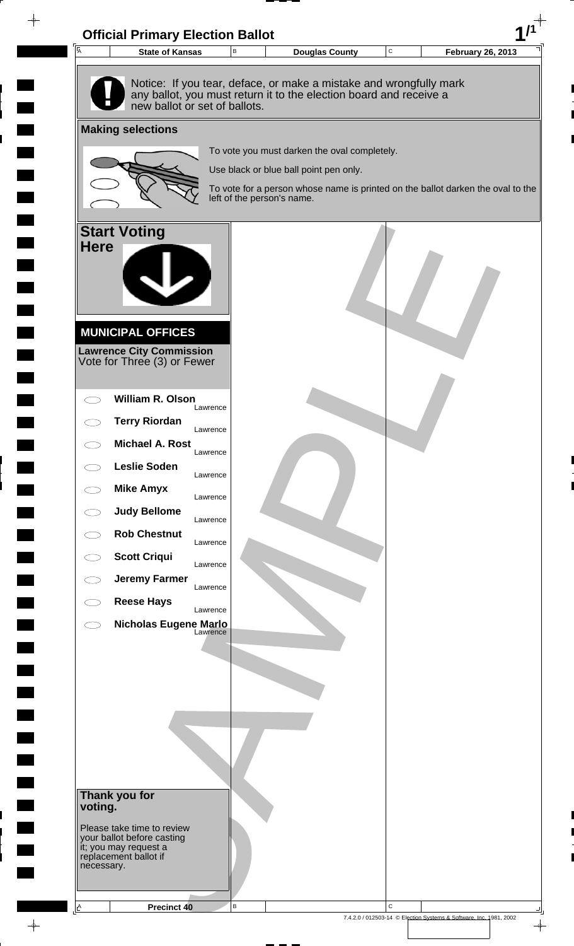

 $\rightarrow$ 

7.4.2.0 / 012503-14 © Election Systems & Software, Inc. 1981, 2002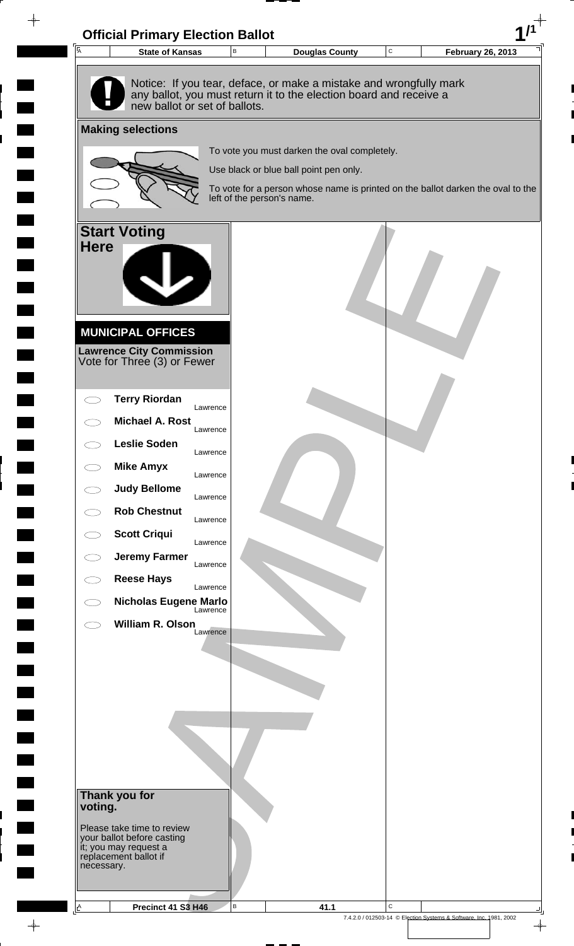

 $\rightarrow$ 

7.4.2.0 / 012503-14 © Election Systems & Software, Inc. 1981, 2002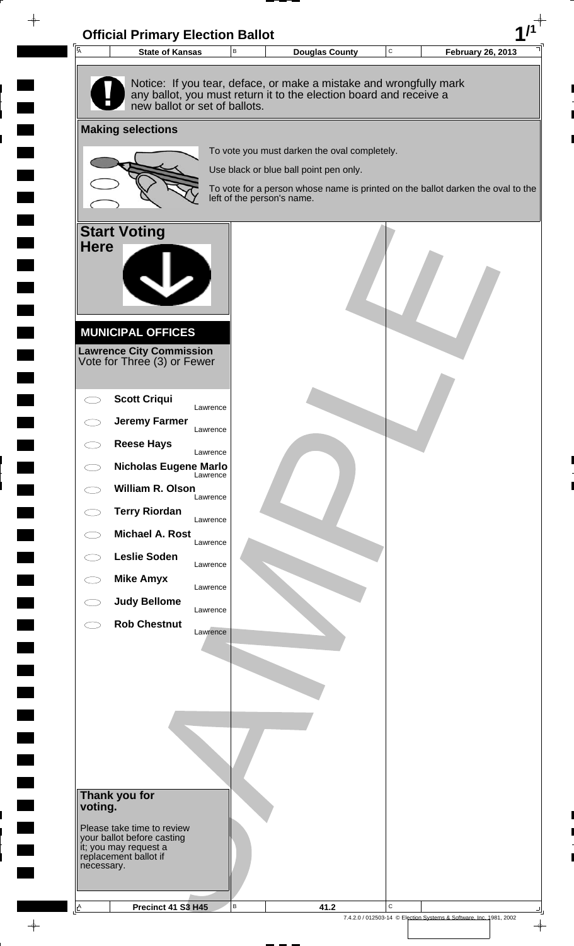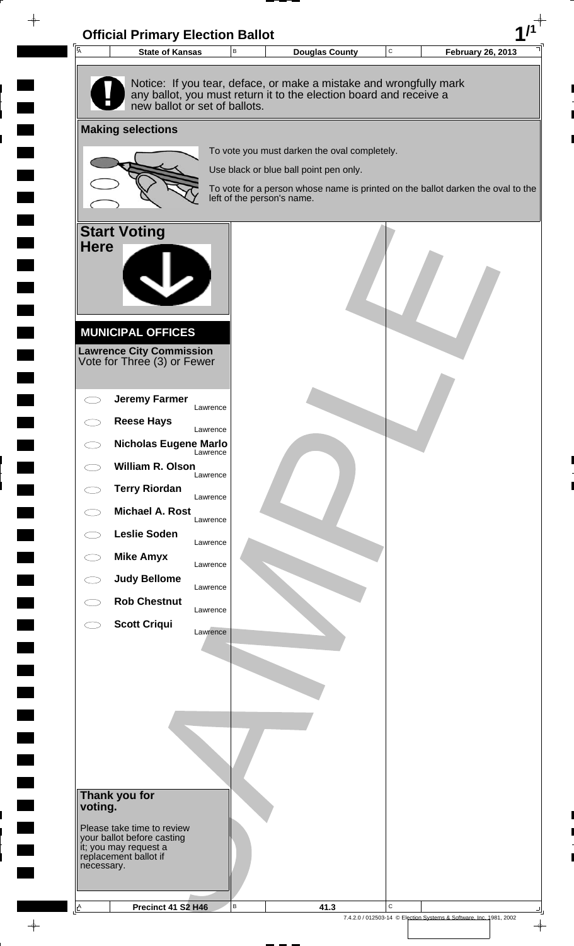

 $\rightarrow$ 

7.4.2.0 / 012503-14 © Election Systems & Software, Inc. 1981, 2002

 $\frac{1}{\Phi}$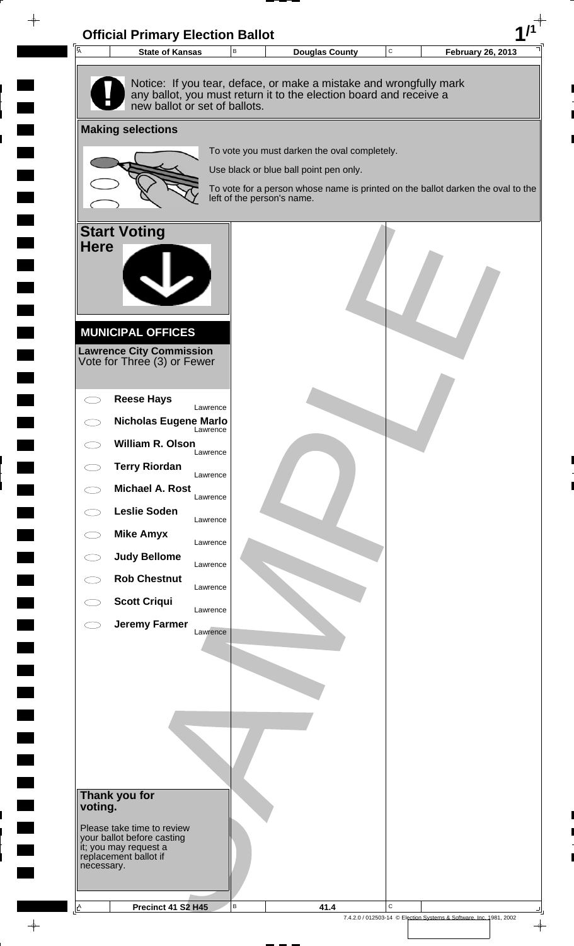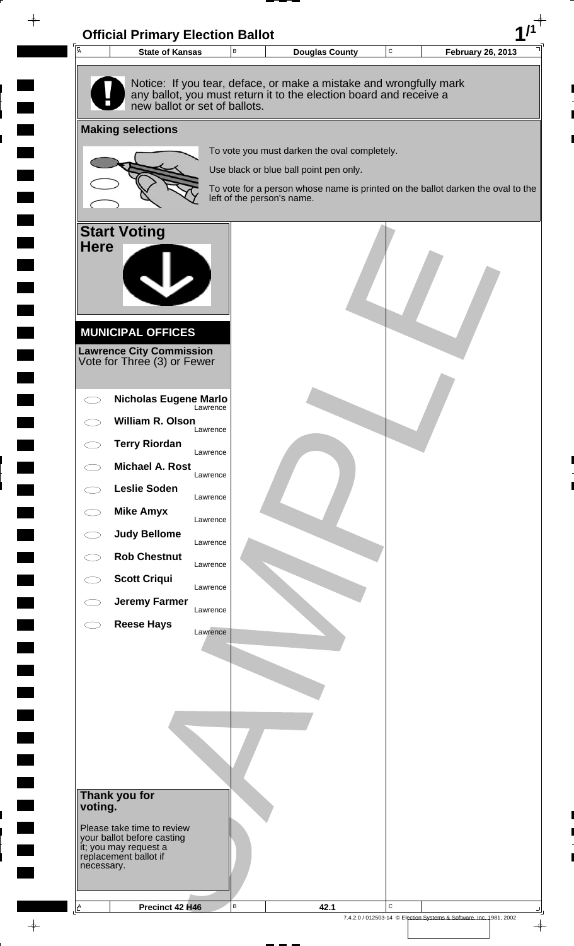

 $\rightarrow$ 

**The Co**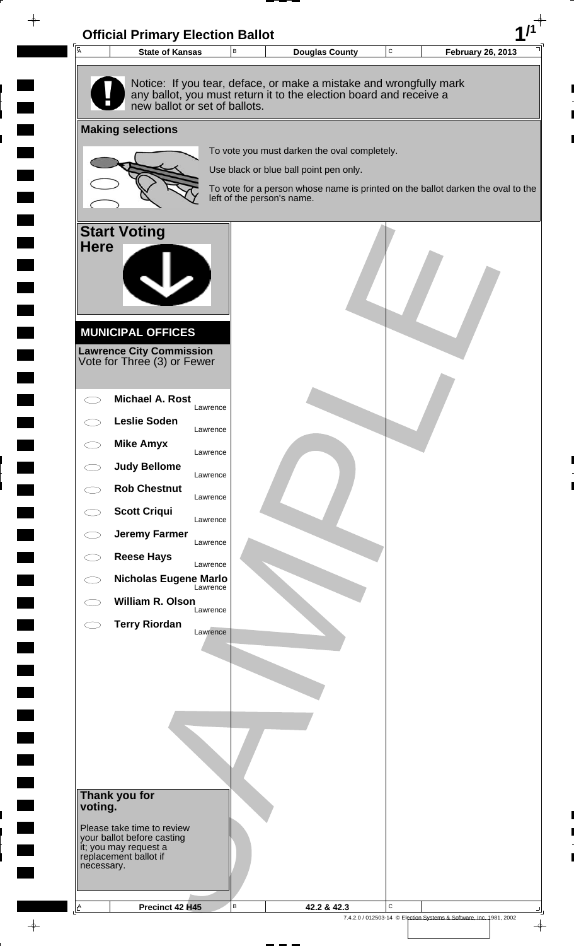

 $\rightarrow$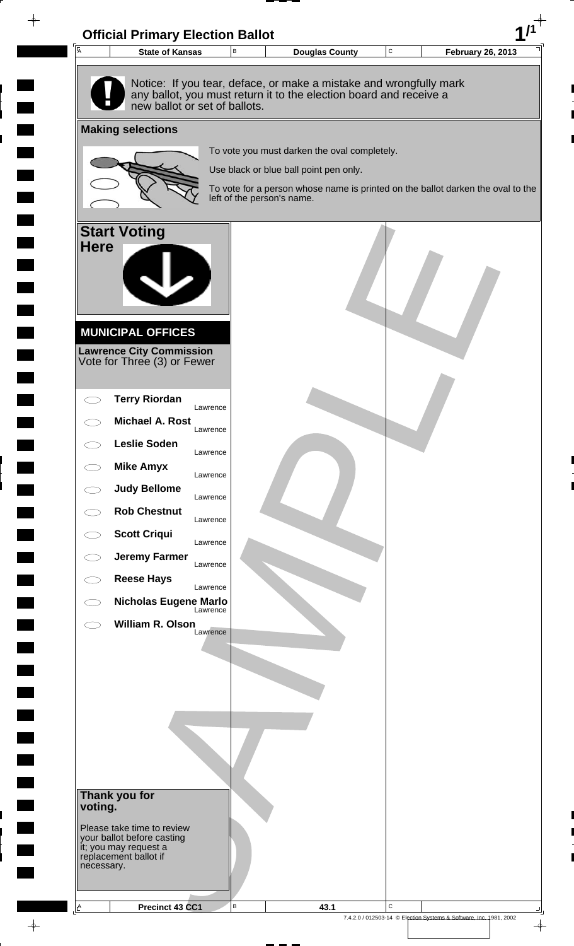

 $\rightarrow$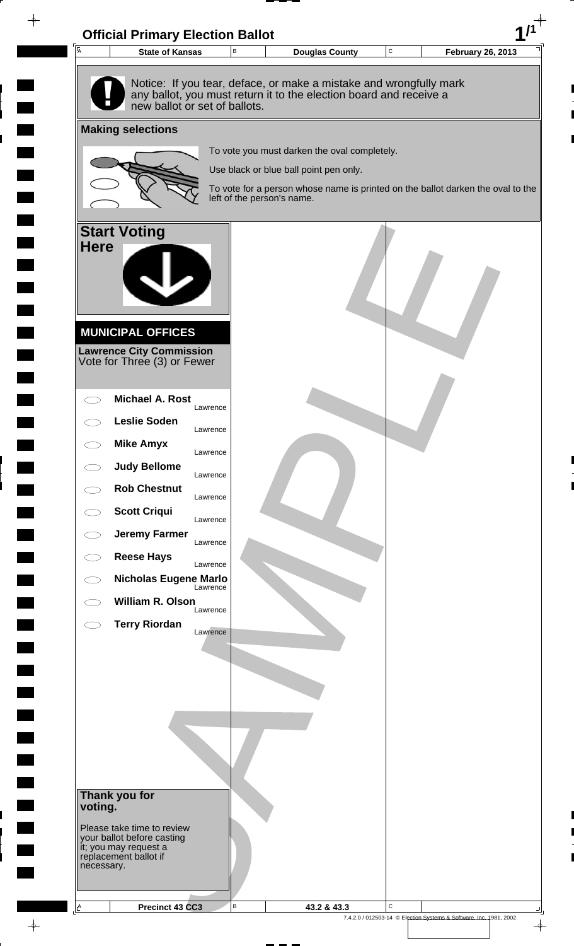

 $\rightarrow$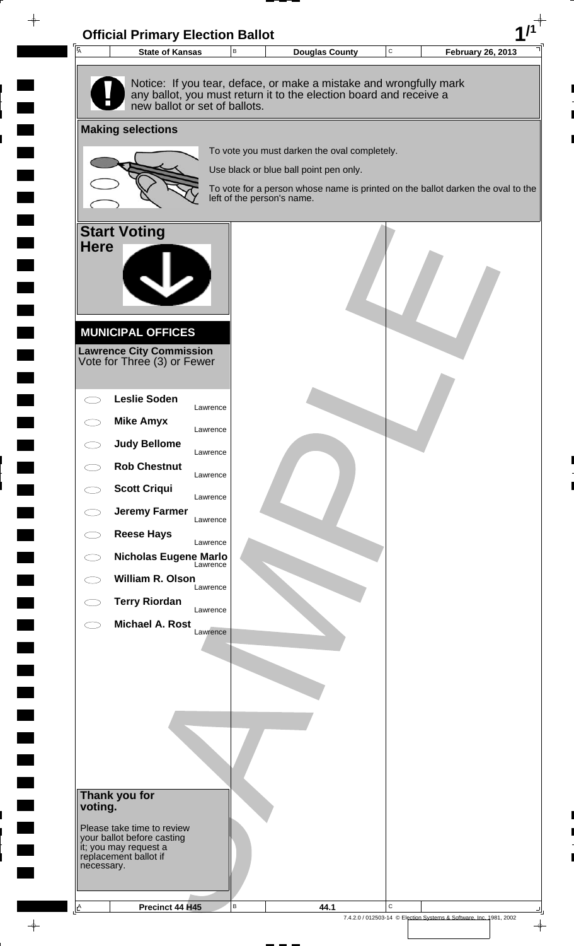

 $\rightarrow$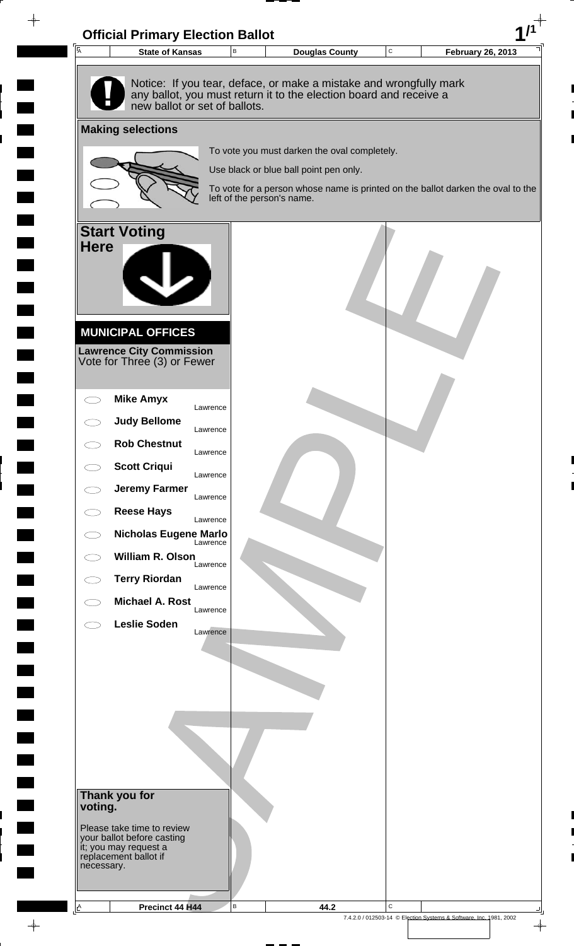

 $\rightarrow$ 

7.4.2.0 / 012503-14 © Election Systems & Software, Inc. 1981, 2002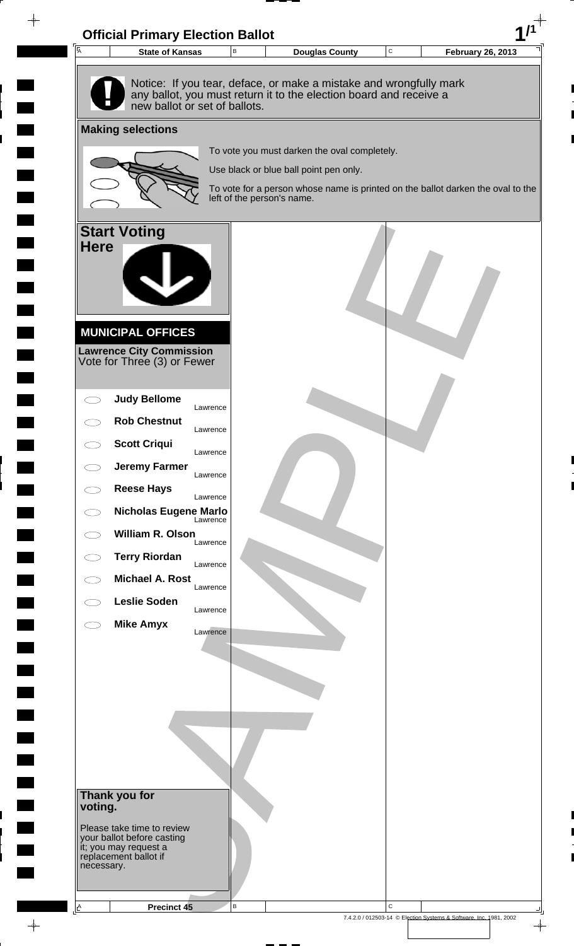![](_page_56_Picture_0.jpeg)

**The Co** 

 $\rightarrow$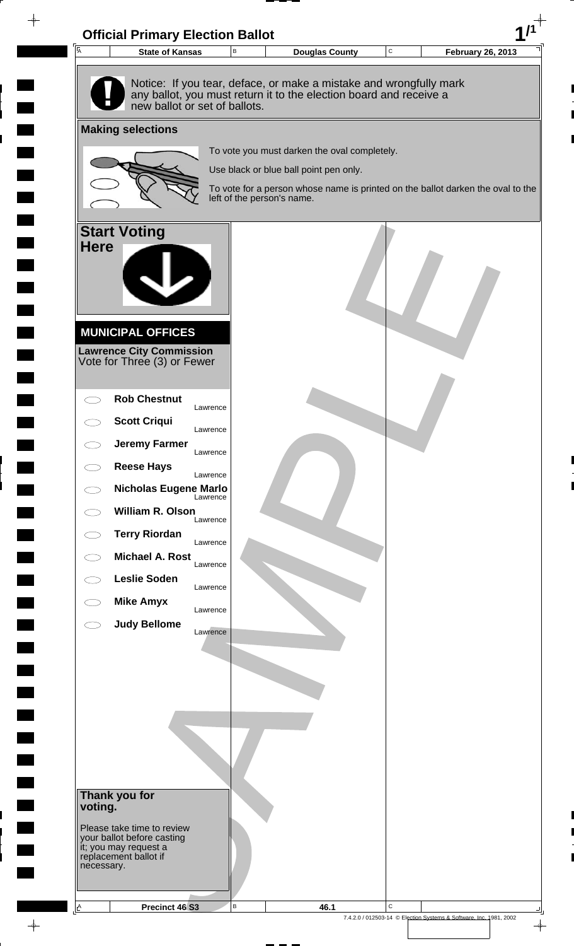![](_page_57_Picture_0.jpeg)

 $\rightarrow$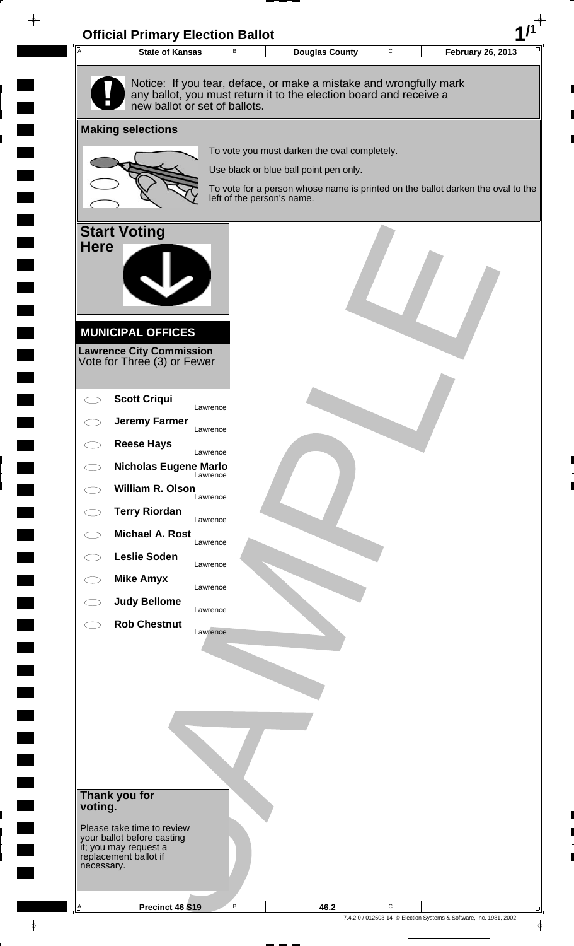![](_page_58_Picture_0.jpeg)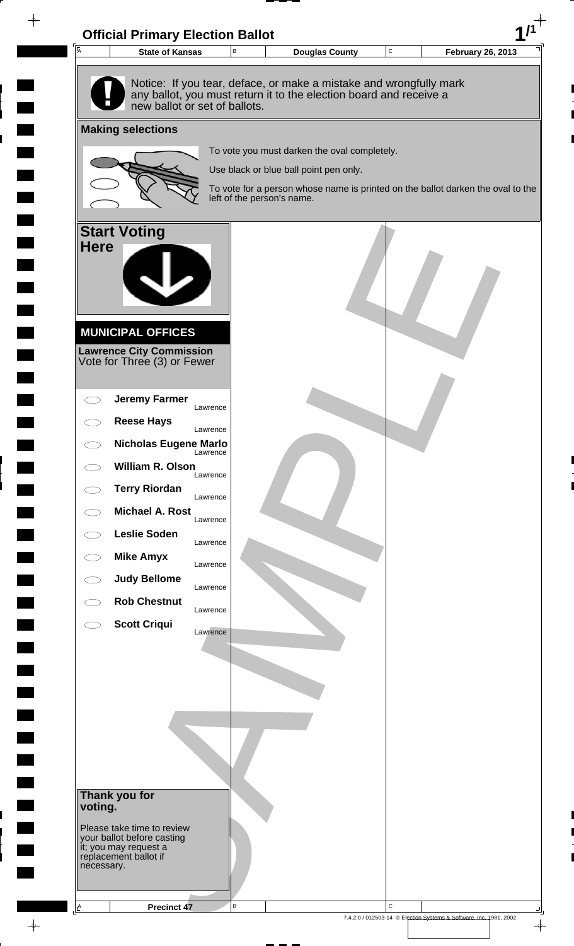![](_page_59_Picture_0.jpeg)

 $\rightarrow$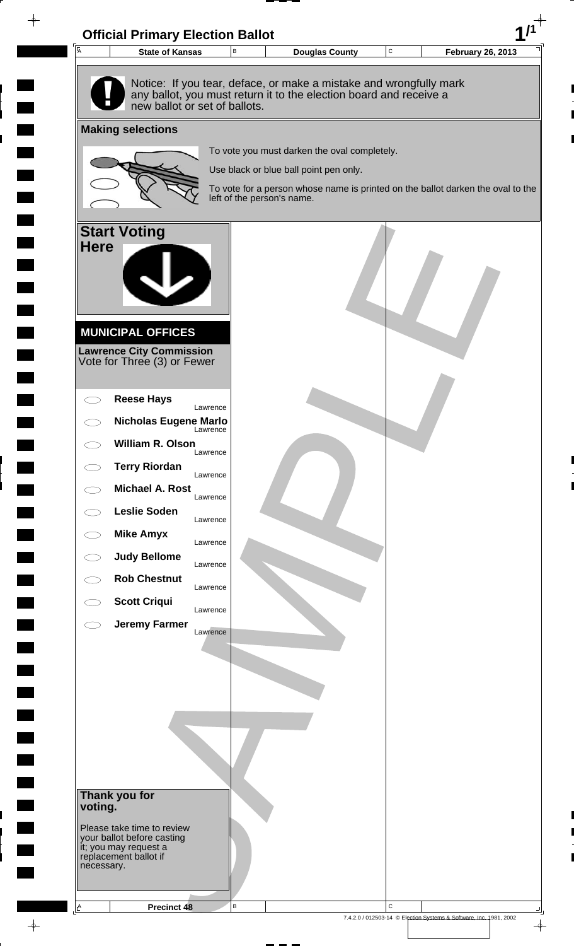![](_page_60_Picture_0.jpeg)

 $\rightarrow$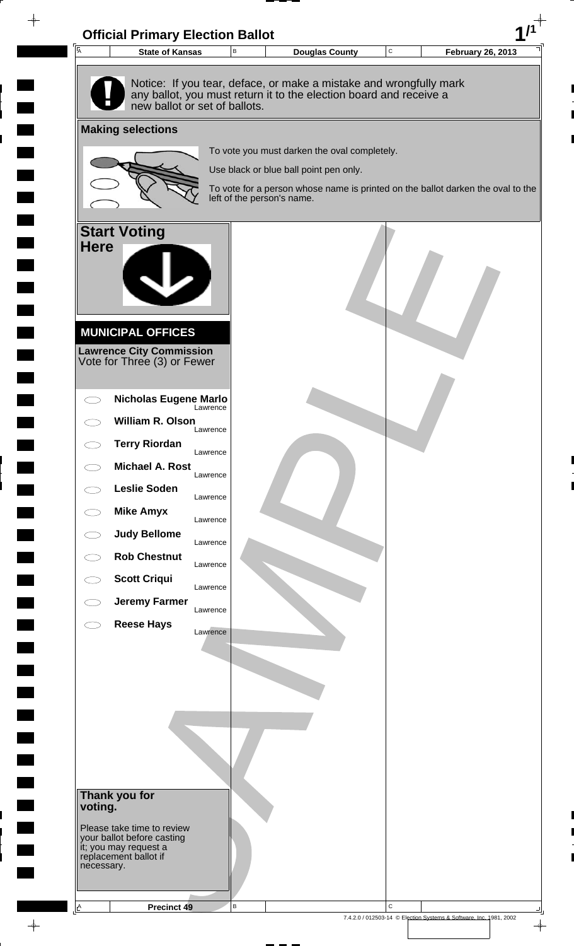![](_page_61_Picture_0.jpeg)

 $\rightarrow$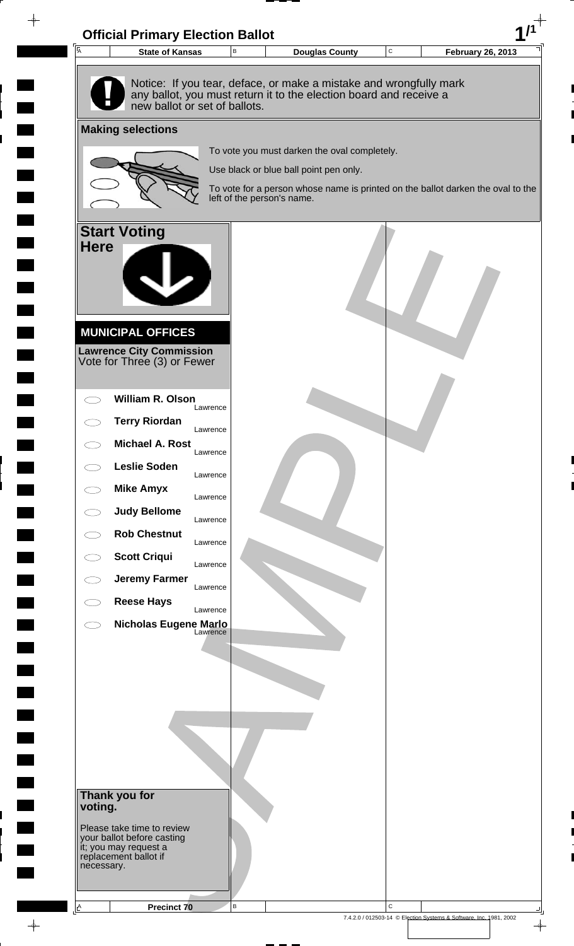![](_page_62_Picture_0.jpeg)

 $\rightarrow$ 

7.4.2.0 / 012503-14 © Election Systems & Software, Inc. 1981, 2002